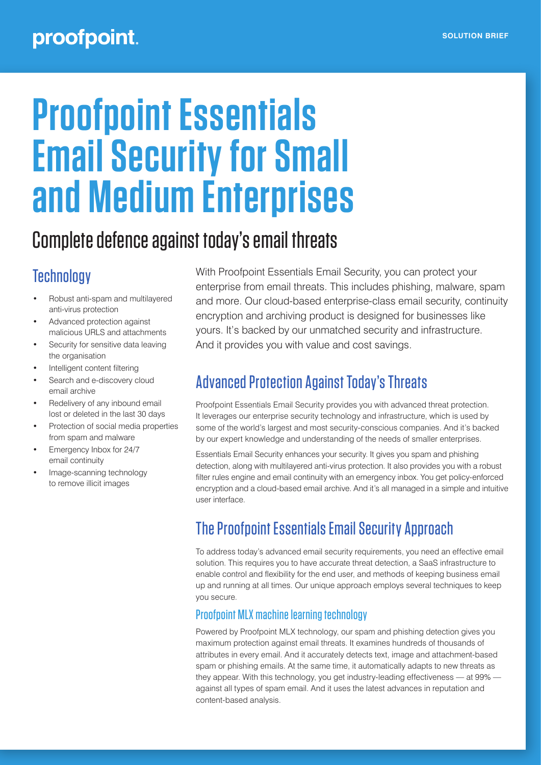# proofpoint.

# **Proofpoint Essentials Email Security for Small and Medium Enterprises**

# Complete defence against today's email threats

# **Technology**

- Robust anti-spam and multilayered anti-virus protection
- Advanced protection against malicious URLS and attachments
- Security for sensitive data leaving the organisation
- Intelligent content filtering
- Search and e-discovery cloud email archive
- Redelivery of any inbound email lost or deleted in the last 30 days
- Protection of social media properties from spam and malware
- Emergency Inbox for 24/7 email continuity
- Image-scanning technology to remove illicit images

With Proofpoint Essentials Email Security, you can protect your enterprise from email threats. This includes phishing, malware, spam and more. Our cloud-based enterprise-class email security, continuity encryption and archiving product is designed for businesses like yours. It's backed by our unmatched security and infrastructure. And it provides you with value and cost savings.

### Advanced Protection Against Today's Threats

Proofpoint Essentials Email Security provides you with advanced threat protection. It leverages our enterprise security technology and infrastructure, which is used by some of the world's largest and most security-conscious companies. And it's backed by our expert knowledge and understanding of the needs of smaller enterprises.

Essentials Email Security enhances your security. It gives you spam and phishing detection, along with multilayered anti-virus protection. It also provides you with a robust filter rules engine and email continuity with an emergency inbox. You get policy-enforced encryption and a cloud-based email archive. And it's all managed in a simple and intuitive user interface.

## The Proofpoint Essentials Email Security Approach

To address today's advanced email security requirements, you need an effective email solution. This requires you to have accurate threat detection, a SaaS infrastructure to enable control and flexibility for the end user, and methods of keeping business email up and running at all times. Our unique approach employs several techniques to keep you secure.

#### Proofpoint MLX machine learning technology

Powered by Proofpoint MLX technology, our spam and phishing detection gives you maximum protection against email threats. It examines hundreds of thousands of attributes in every email. And it accurately detects text, image and attachment-based spam or phishing emails. At the same time, it automatically adapts to new threats as they appear. With this technology, you get industry-leading effectiveness — at 99% against all types of spam email. And it uses the latest advances in reputation and content-based analysis.